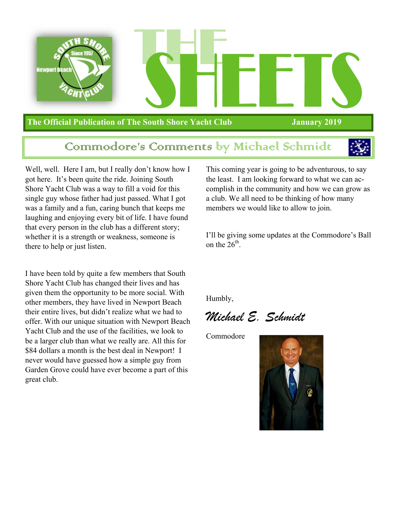

#### **The Official Publication of The South Shore Yacht Club January 2019**

#### Commodore's Comments by Michael Schmidt



Well, well. Here I am, but I really don't know how I got here. It's been quite the ride. Joining South Shore Yacht Club was a way to fill a void for this single guy whose father had just passed. What I got was a family and a fun, caring bunch that keeps me laughing and enjoying every bit of life. I have found that every person in the club has a different story; whether it is a strength or weakness, someone is there to help or just listen.

I have been told by quite a few members that South Shore Yacht Club has changed their lives and has given them the opportunity to be more social. With other members, they have lived in Newport Beach their entire lives, but didn't realize what we had to offer. With our unique situation with Newport Beach Yacht Club and the use of the facilities, we look to be a larger club than what we really are. All this for \$84 dollars a month is the best deal in Newport! I never would have guessed how a simple guy from Garden Grove could have ever become a part of this great club.

This coming year is going to be adventurous, to say the least. I am looking forward to what we can accomplish in the community and how we can grow as a club. We all need to be thinking of how many members we would like to allow to join.

I'll be giving some updates at the Commodore's Ball on the  $26<sup>th</sup>$ .

Humbly,

*Michael E. Schmidt* 

Commodore

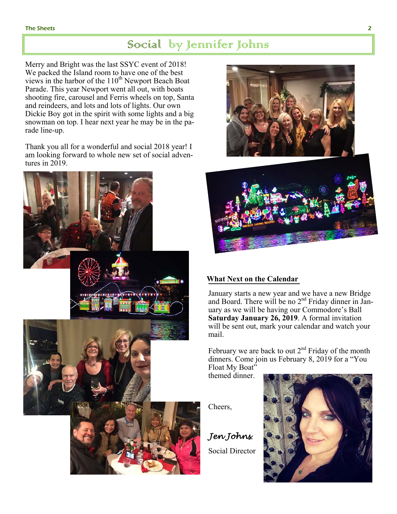#### Social by Jennifer Johns

Merry and Bright was the last SSYC event of 2018! We packed the Island room to have one of the best views in the harbor of the  $110^{th}$  Newport Beach Boat Parade. This year Newport went all out, with boats shooting fire, carousel and Ferris wheels on top, Santa and reindeers, and lots and lots of lights. Our own Dickie Boy got in the spirit with some lights and a big snowman on top. I hear next year he may be in the parade line-up.

Thank you all for a wonderful and social 2018 year! I am looking forward to whole new set of social adventures in 2019.





#### **What Next on the Calendar**

January starts a new year and we have a new Bridge and Board. There will be no 2<sup>nd</sup> Friday dinner in January as we will be having our Commodore's Ball **Saturday January 26, 2019**. A formal invitation will be sent out, mark your calendar and watch your mail.

February we are back to out  $2<sup>nd</sup>$  Friday of the month dinners. Come join us February 8, 2019 for a "You Float My Boat"

themed dinner.

Cheers,

*Jen Johns*, Social Director

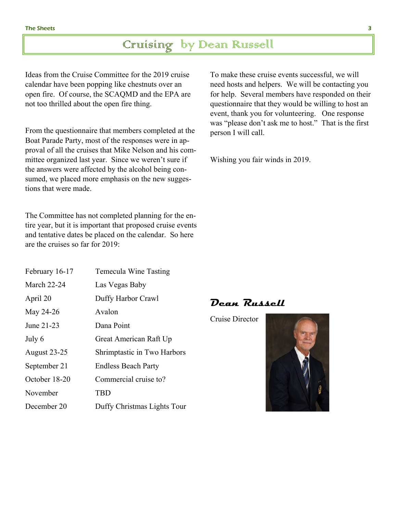### Cruising by Dean Russell

Ideas from the Cruise Committee for the 2019 cruise calendar have been popping like chestnuts over an open fire. Of course, the SCAQMD and the EPA are not too thrilled about the open fire thing.

From the questionnaire that members completed at the Boat Parade Party, most of the responses were in approval of all the cruises that Mike Nelson and his committee organized last year. Since we weren't sure if the answers were affected by the alcohol being consumed, we placed more emphasis on the new suggestions that were made.

The Committee has not completed planning for the entire year, but it is important that proposed cruise events and tentative dates be placed on the calendar. So here are the cruises so far for 2019:

| February 16-17      | Temecula Wine Tasting       |
|---------------------|-----------------------------|
| March 22-24         | Las Vegas Baby              |
| April 20            | Duffy Harbor Crawl          |
| May 24-26           | Avalon                      |
| June 21-23          | Dana Point                  |
| July 6              | Great American Raft Up      |
| <b>August 23-25</b> | Shrimptastic in Two Harbors |
| September 21        | <b>Endless Beach Party</b>  |
| October 18-20       | Commercial cruise to?       |
| November            | TBD                         |
| December 20         | Duffy Christmas Lights Tour |

To make these cruise events successful, we will need hosts and helpers. We will be contacting you for help. Several members have responded on their questionnaire that they would be willing to host an event, thank you for volunteering. One response was "please don't ask me to host." That is the first person I will call.

Wishing you fair winds in 2019.

**Dean Russell** 

Cruise Director

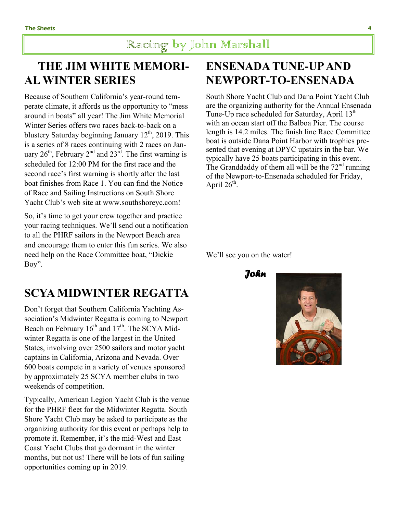### **THE JIM WHITE MEMORI-AL WINTER SERIES**

Because of Southern California's year-round temperate climate, it affords us the opportunity to "mess around in boats" all year! The Jim White Memorial Winter Series offers two races back-to-back on a blustery Saturday beginning January  $12<sup>th</sup>$ , 2019. This is a series of 8 races continuing with 2 races on January  $26<sup>th</sup>$ , February  $2<sup>nd</sup>$  and  $23<sup>rd</sup>$ . The first warning is scheduled for 12:00 PM for the first race and the second race's first warning is shortly after the last boat finishes from Race 1. You can find the Notice of Race and Sailing Instructions on South Shore Yacht Club's web site at www.southshoreyc.com!

So, it's time to get your crew together and practice your racing techniques. We'll send out a notification to all the PHRF sailors in the Newport Beach area and encourage them to enter this fun series. We also need help on the Race Committee boat, "Dickie Boy".

#### **SCYA MIDWINTER REGATTA**

Don't forget that Southern California Yachting Association's Midwinter Regatta is coming to Newport Beach on February  $16<sup>th</sup>$  and  $17<sup>th</sup>$ . The SCYA Midwinter Regatta is one of the largest in the United States, involving over 2500 sailors and motor yacht captains in California, Arizona and Nevada. Over 600 boats compete in a variety of venues sponsored by approximately 25 SCYA member clubs in two weekends of competition.

Typically, American Legion Yacht Club is the venue for the PHRF fleet for the Midwinter Regatta. South Shore Yacht Club may be asked to participate as the organizing authority for this event or perhaps help to promote it. Remember, it's the mid-West and East Coast Yacht Clubs that go dormant in the winter months, but not us! There will be lots of fun sailing opportunities coming up in 2019.

### **ENSENADA TUNE-UP AND NEWPORT-TO-ENSENADA**

South Shore Yacht Club and Dana Point Yacht Club are the organizing authority for the Annual Ensenada Tune-Up race scheduled for Saturday, April  $13<sup>th</sup>$ with an ocean start off the Balboa Pier. The course length is 14.2 miles. The finish line Race Committee boat is outside Dana Point Harbor with trophies presented that evening at DPYC upstairs in the bar. We typically have 25 boats participating in this event. The Granddaddy of them all will be the  $72<sup>nd</sup>$  running of the Newport-to-Ensenada scheduled for Friday, April  $26^{th}$ .

We'll see you on the water!

 *John*

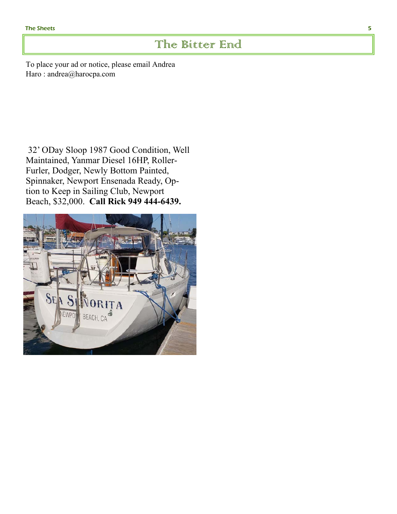#### The Bitter End

To place your ad or notice, please email Andrea Haro : andrea@harocpa.com

32' ODay Sloop 1987 Good Condition, Well Maintained, Yanmar Diesel 16HP, Roller-Furler, Dodger, Newly Bottom Painted, Spinnaker, Newport Ensenada Ready, Option to Keep in Sailing Club, Newport Beach, \$32,000. **Call Rick 949 444-6439.**

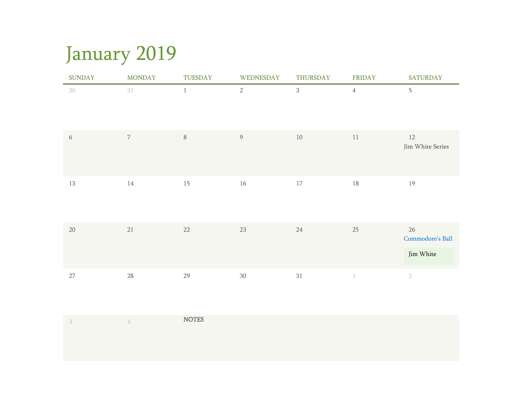## January 2019

| <b>SUNDAY</b> | <b>MONDAY</b>  | TUESDAY | WEDNESDAY      | THURSDAY     | FRIDAY      | <b>SATURDAY</b>        |
|---------------|----------------|---------|----------------|--------------|-------------|------------------------|
| 30            | 31             | $1\,$   | $2\,$          | $\mathbf{3}$ | $\sqrt{4}$  | 5                      |
| 6             | $\overline{7}$ | $\, 8$  | $\overline{9}$ | $10$         | 11          | 12<br>Jim White Series |
| 13            | $14\,$         | 15      | $16\,$         | $17\,$       | $18\,$      | 19                     |
| 20            | 21             | $22\,$  | $23\,$         | $24\,$       | 25          | 26<br>Commodore's Ball |
|               |                |         |                |              |             | Jim White              |
| 27            | 28             | 29      | $30\,$         | 31           | $\mathbf 1$ | $\sqrt{2}$             |

|  | <b>NOTES</b> |
|--|--------------|
|  |              |
|  |              |
|  |              |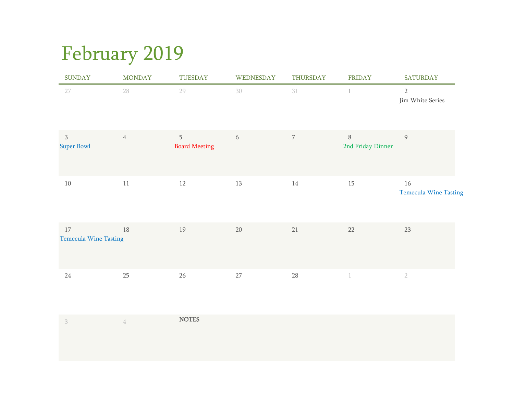# February 2019

| <b>SUNDAY</b>                          | <b>MONDAY</b>  | TUESDAY                   | WEDNESDAY | THURSDAY   | <b>FRIDAY</b>          | <b>SATURDAY</b>                    |
|----------------------------------------|----------------|---------------------------|-----------|------------|------------------------|------------------------------------|
| 27                                     | 28             | 29                        | 30        | 31         | $\mathbf{1}$           | $\overline{2}$<br>Jim White Series |
| $\mathfrak{Z}$<br><b>Super Bowl</b>    | $\overline{4}$ | 5<br><b>Board Meeting</b> | 6         | $\sqrt{ }$ | 8<br>2nd Friday Dinner | $\overline{9}$                     |
| $10\,$                                 | 11             | 12                        | 13        | 14         | 15                     | 16<br><b>Temecula Wine Tasting</b> |
| $17\,$<br><b>Temecula Wine Tasting</b> | $18\,$         | 19                        | $20\,$    | $21\,$     | $22\,$                 | $23\,$                             |
| $24\,$                                 | 25             | $26\,$                    | 27        | $28\,$     |                        | $\overline{2}$                     |

|  | <b>NOTES</b> |
|--|--------------|
|  |              |
|  |              |
|  |              |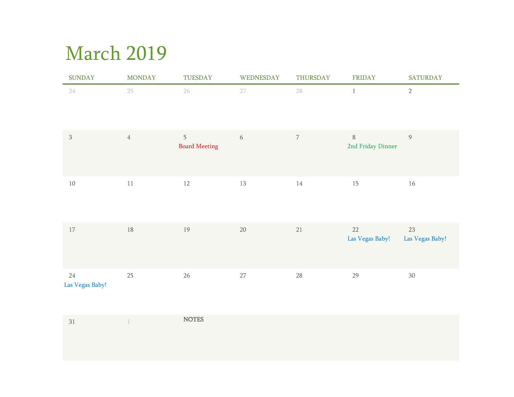### March 2019

| <b>SUNDAY</b>             | <b>MONDAY</b>  | TUESDAY                   | WEDNESDAY        | THURSDAY   | <b>FRIDAY</b>               | <b>SATURDAY</b>       |
|---------------------------|----------------|---------------------------|------------------|------------|-----------------------------|-----------------------|
| $24\,$                    | 25             | 26                        | 27               | 28         | $\,1\,$                     | $\sqrt{2}$            |
| $\sqrt{3}$                | $\overline{4}$ | 5<br><b>Board Meeting</b> | $\boldsymbol{6}$ | $\sqrt{ }$ | $\, 8$<br>2nd Friday Dinner | $\overline{9}$        |
| $10\,$                    | $11\,$         | $12\,$                    | $13\,$           | 14         | 15                          | $16\,$                |
| 17                        | $18\,$         | 19                        | $20\,$           | 21         | 22<br>Las Vegas Baby!       | 23<br>Las Vegas Baby! |
| $24\,$<br>Las Vegas Baby! | $25\,$         | $26\,$                    | $27\,$           | 28         | 29                          | $30\,$                |

| n.<br>$\prec$<br>υı | <b>NOTES</b> |
|---------------------|--------------|
|                     |              |
|                     |              |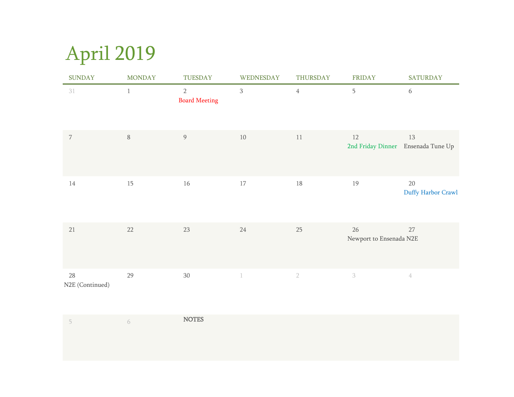# April 2019

| <b>SUNDAY</b>         | <b>MONDAY</b> | TUESDAY                                | WEDNESDAY      | THURSDAY       | <b>FRIDAY</b>                 | <b>SATURDAY</b>                          |
|-----------------------|---------------|----------------------------------------|----------------|----------------|-------------------------------|------------------------------------------|
| 31                    | $\mathbf{1}$  | $\overline{2}$<br><b>Board Meeting</b> | $\overline{3}$ | $\overline{4}$ | 5                             | $\sqrt{6}$                               |
| $\overline{7}$        | $\, 8$        | $\overline{9}$                         | $10\,$         | $11\,$         | 12                            | 13<br>2nd Friday Dinner Ensenada Tune Up |
| 14                    | 15            | 16                                     | 17             | $18\,$         | $19\,$                        | $20\,$<br>Duffy Harbor Crawl             |
| $21\,$                | 22            | 23                                     | $24\,$         | 25             | 26<br>Newport to Ensenada N2E | 27                                       |
| 28<br>N2E (Continued) | 29            | $30\,$                                 | $\mathbf{1}$   | $\sqrt{2}$     | $\sqrt{3}$                    | $\mathbf 4$                              |

| $\sqrt{2}$ | <b>NOTES</b> |
|------------|--------------|
|            |              |
|            |              |
|            |              |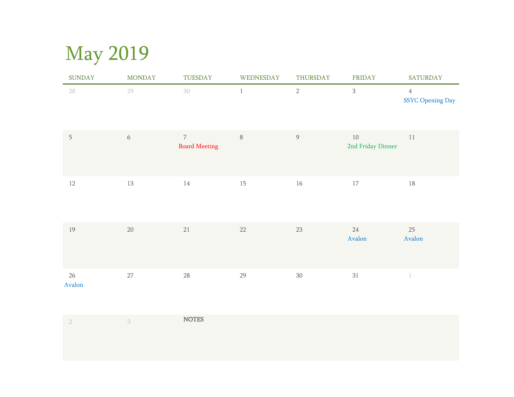# May 2019

| <b>SUNDAY</b>    | <b>MONDAY</b> | TUESDAY                                | WEDNESDAY | THURSDAY         | <b>FRIDAY</b>                                | <b>SATURDAY</b>                    |
|------------------|---------------|----------------------------------------|-----------|------------------|----------------------------------------------|------------------------------------|
| 28               | 29            | 30                                     | $\,1\,$   | $\sqrt{2}$       | $\overline{3}$                               | $\overline{4}$<br>SSYC Opening Day |
| $5\phantom{.0}$  | $\sqrt{6}$    | $\overline{7}$<br><b>Board Meeting</b> | $\, 8$    | $\boldsymbol{9}$ | $10\,$<br>2nd Friday Dinner                  | $11\,$                             |
| $12\,$           | 13            | 14                                     | 15        | 16               | $17\,$                                       | $18\,$                             |
| 19               | $20\,$        | $21\,$                                 | $22\,$    | $23\,$           | $24\,$<br>$\boldsymbol{A}\boldsymbol{valon}$ | 25<br>Avalon                       |
| $26\,$<br>Avalon | $27\,$        | $28\,$                                 | 29        | $30\,$           | 31                                           | $\mathbf 1$                        |

|  | <b>NOTES</b> |
|--|--------------|
|  |              |
|  |              |
|  |              |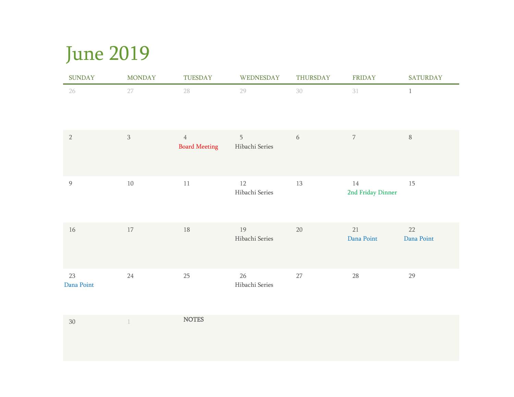## June 2019

| <b>SUNDAY</b>    | <b>MONDAY</b>  | TUESDAY                                | WEDNESDAY                | THURSDAY | FRIDAY                      | <b>SATURDAY</b>  |
|------------------|----------------|----------------------------------------|--------------------------|----------|-----------------------------|------------------|
| 26               | 27             | 28                                     | 29                       | 30       | 31                          | $\mathbf{1}$     |
| $\sqrt{2}$       | $\mathfrak{Z}$ | $\overline{4}$<br><b>Board Meeting</b> | 5<br>Hibachi Series      | 6        | $\overline{7}$              | $\, 8$           |
| $\overline{9}$   | $10\,$         | $11\,$                                 | 12<br>Hibachi Series     | $13\,$   | $14\,$<br>2nd Friday Dinner | 15               |
| 16               | 17             | 18                                     | 19<br>Hibachi Series     | 20       | 21<br>Dana Point            | 22<br>Dana Point |
| 23<br>Dana Point | 24             | 25                                     | $26\,$<br>Hibachi Series | $27\,$   | 28                          | 29               |

| 30 | <b>NOTES</b> |
|----|--------------|
|    |              |
|    |              |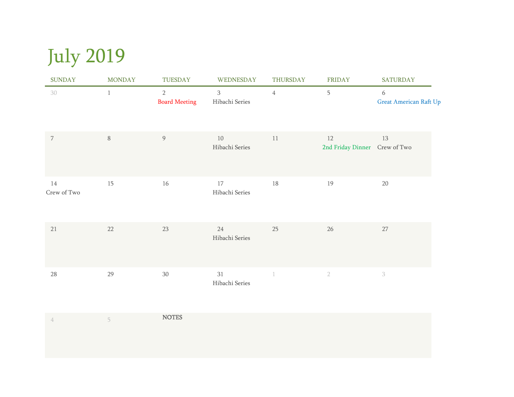# July 2019

| <b>SUNDAY</b>     | <b>MONDAY</b> | TUESDAY                            | WEDNESDAY                        | THURSDAY                 | <b>FRIDAY</b>                       | <b>SATURDAY</b>                    |
|-------------------|---------------|------------------------------------|----------------------------------|--------------------------|-------------------------------------|------------------------------------|
| 30                | $\mathbf{1}$  | $\sqrt{2}$<br><b>Board Meeting</b> | $\overline{3}$<br>Hibachi Series | $\overline{4}$           | 5                                   | 6<br><b>Great American Raft Up</b> |
| $\overline{7}$    | $\, 8$        | $\overline{9}$                     | 10<br>Hibachi Series             | 11                       | 12<br>2nd Friday Dinner Crew of Two | 13                                 |
| 14<br>Crew of Two | 15            | 16                                 | 17<br>Hibachi Series             | 18                       | 19                                  | $20\,$                             |
| 21                | 22            | 23                                 | 24<br>Hibachi Series             | 25                       | 26                                  | 27                                 |
| 28                | 29            | $30\,$                             | 31<br>Hibachi Series             | $\overline{\phantom{a}}$ | $\sqrt{2}$                          | $\mathfrak{Z}$                     |

|  | <b>NOTES</b> |
|--|--------------|
|  |              |
|  |              |
|  |              |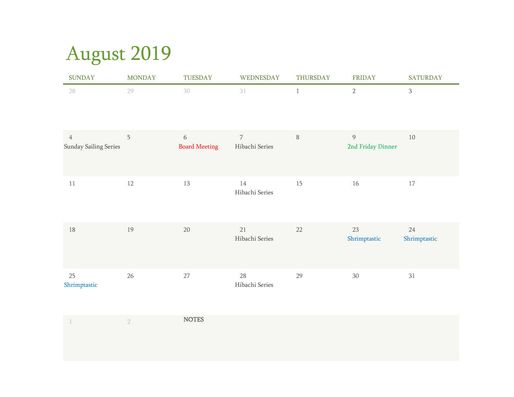# August 2019

| <b>SUNDAY</b>                           | <b>MONDAY</b> | TUESDAY                   | WEDNESDAY                        | <b>THURSDAY</b> | <b>FRIDAY</b>                       | <b>SATURDAY</b>    |
|-----------------------------------------|---------------|---------------------------|----------------------------------|-----------------|-------------------------------------|--------------------|
| 28                                      | 29            | 30                        | 31                               | $\mathbf{1}$    | $\overline{2}$                      | $\mathbf{3}$       |
| $\overline{4}$<br>Sunday Sailing Series | 5             | 6<br><b>Board Meeting</b> | $\overline{7}$<br>Hibachi Series | $\, 8$          | $\overline{9}$<br>2nd Friday Dinner | 10                 |
| 11                                      | 12            | 13                        | 14<br>Hibachi Series             | 15              | 16                                  | 17                 |
| 18                                      | 19            | $20\,$                    | 21<br>Hibachi Series             | 22              | 23<br>Shrimptastic                  | 24<br>Shrimptastic |
| 25<br>Shrimptastic                      | $26\,$        | 27                        | 28<br>Hibachi Series             | 29              | 30                                  | $31\,$             |

|  | <b>NOTES</b> |
|--|--------------|
|  |              |
|  |              |
|  |              |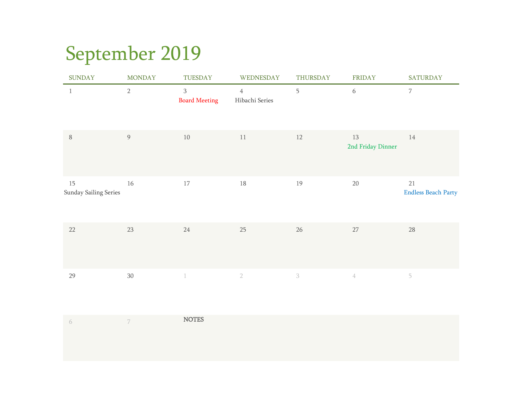# September 2019

| <b>SUNDAY</b>               | <b>MONDAY</b>    | TUESDAY                             | WEDNESDAY                        | THURSDAY                  | <b>FRIDAY</b>           | <b>SATURDAY</b>                  |
|-----------------------------|------------------|-------------------------------------|----------------------------------|---------------------------|-------------------------|----------------------------------|
| $\mathbf{1}$                | $2\,$            | $\,$ 3 $\,$<br><b>Board Meeting</b> | $\overline{4}$<br>Hibachi Series | 5                         | 6                       | $\overline{7}$                   |
| $\, 8$                      | $\boldsymbol{9}$ | 10                                  | 11                               | 12                        | 13<br>2nd Friday Dinner | 14                               |
| 15<br>Sunday Sailing Series | 16               | 17                                  | $18\,$                           | 19                        | 20                      | 21<br><b>Endless Beach Party</b> |
| 22                          | 23               | 24                                  | 25                               | 26                        | $27\,$                  | 28                               |
| 29                          | $30\,$           | $\mathbbm{1}$                       | $\sqrt{2}$                       | $\ensuremath{\mathbf{3}}$ | $\mathcal{A}$           | 5                                |

|  | <b>NOTES</b> |
|--|--------------|
|  |              |
|  |              |
|  |              |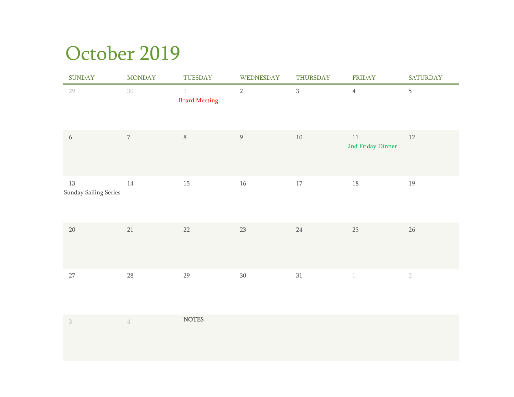### October 2019

| <b>SUNDAY</b>               | <b>MONDAY</b>  | TUESDAY                              | WEDNESDAY      | THURSDAY       | FRIDAY                      | SATURDAY   |
|-----------------------------|----------------|--------------------------------------|----------------|----------------|-----------------------------|------------|
| 29                          | 30             | $\mathbf{1}$<br><b>Board Meeting</b> | $\overline{2}$ | $\overline{3}$ | $\sqrt{4}$                  | 5          |
| $\sqrt{6}$                  | $\overline{7}$ | $\, 8$                               | $\overline{9}$ | 10             | $11\,$<br>2nd Friday Dinner | 12         |
| 13<br>Sunday Sailing Series | 14             | 15                                   | 16             | 17             | 18                          | 19         |
| $20\,$                      | 21             | 22                                   | $23\,$         | 24             | 25                          | $26\,$     |
| $27\,$                      | 28             | 29                                   | $30\,$         | 31             |                             | $\sqrt{2}$ |

|  | <b>NOTES</b> |
|--|--------------|
|  |              |
|  |              |
|  |              |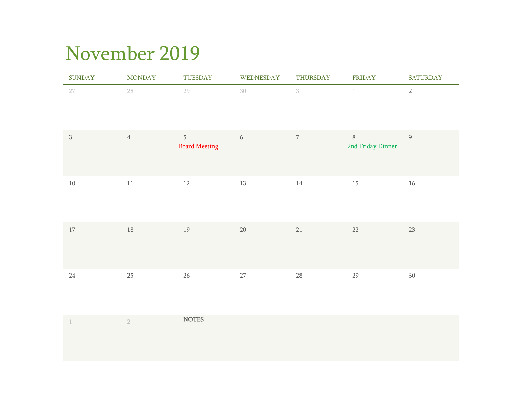## November 2019

| <b>SUNDAY</b> | <b>MONDAY</b>    | TUESDAY                                | WEDNESDAY | THURSDAY       | FRIDAY                     | <b>SATURDAY</b> |
|---------------|------------------|----------------------------------------|-----------|----------------|----------------------------|-----------------|
| 27            | 28               | 29                                     | 30        | 31             | $\mathbf{1}$               | $\sqrt{2}$      |
| $\mathbf{3}$  | $\ensuremath{4}$ | $\overline{5}$<br><b>Board Meeting</b> | $6\,$     | $\overline{7}$ | $8\,$<br>2nd Friday Dinner | $\overline{9}$  |
| $10\,$        | $11\,$           | 12                                     | 13        | 14             | $15\,$                     | $16\,$          |
| $17\,$        | 18               | $19\,$                                 | $20\,$    | 21             | $22\,$                     | $23\,$          |
| 24            | 25               | $26\,$                                 | $27\,$    | $28\,$         | 29                         | $30\,$          |

|  | <b>NOTES</b> |
|--|--------------|
|  |              |
|  |              |
|  |              |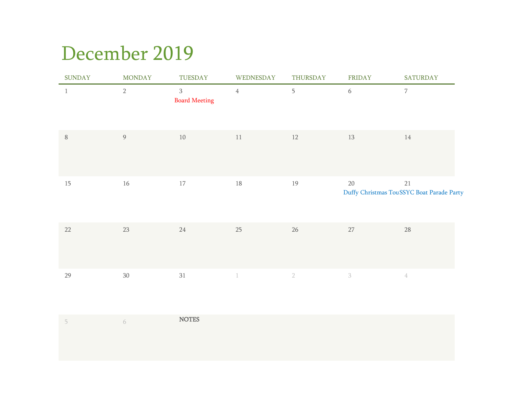### December 2019

| <b>SUNDAY</b> | <b>MONDAY</b> | TUESDAY                                | WEDNESDAY      | THURSDAY   | FRIDAY | <b>SATURDAY</b>                                 |
|---------------|---------------|----------------------------------------|----------------|------------|--------|-------------------------------------------------|
| $\mathbf{1}$  | $2\,$         | $\overline{3}$<br><b>Board Meeting</b> | $\overline{4}$ | 5          | 6      | $\overline{7}$                                  |
| $\, 8$        | 9             | 10                                     | 11             | 12         | 13     | 14                                              |
| 15            | $16\,$        | $17\,$                                 | 18             | 19         | $20\,$ | 21<br>Duffy Christmas TouSSYC Boat Parade Party |
| $22\,$        | $23\,$        | 24                                     | 25             | $26\,$     | $27\,$ | 28                                              |
| 29            | $30\,$        | 31                                     |                | $\sqrt{2}$ | $\,3$  | $\hbox{4}$                                      |

|  | <b>NOTES</b> |
|--|--------------|
|  |              |
|  |              |
|  |              |